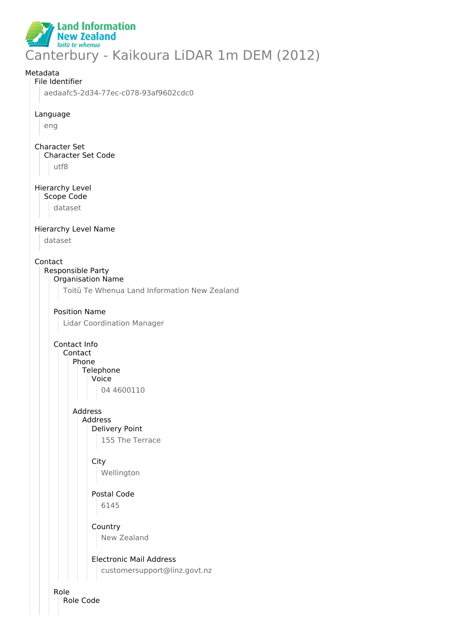

# Metadata File Identifier aedaafc5-2d34-77ec-c078-93af9602cdc0 Language eng Character Set Character Set Code utf8 Hierarchy Level Scope Code dataset Hierarchy Level Name dataset Contact Responsible Party Organisation Name Toitū Te Whenua Land Information New Zealand Position Name Lidar Coordination Manager Contact Info Contact Phone **Telephone** Voice 04 4600110 Address Address Delivery Point 155 The Terrace **City** Wellington Postal Code 6145 **Country** New Zealand Electronic Mail Address customersupport@linz.govt.nz Role

Role Code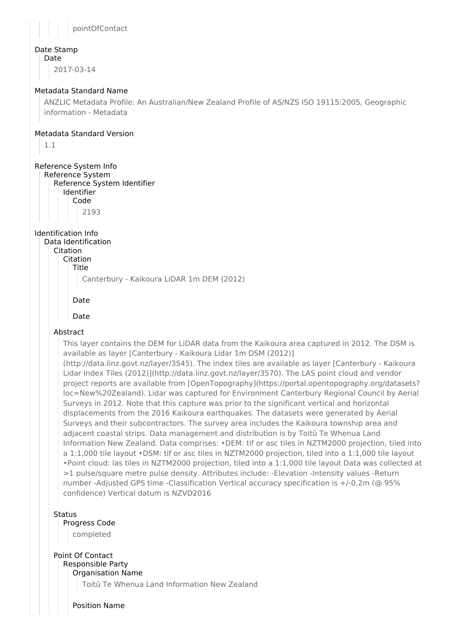

### Date Stamp

Date

2017-03-14

### Metadata Standard Name

ANZLIC Metadata Profile: An Australian/New Zealand Profile of AS/NZS ISO 19115:2005, Geographic information - Metadata

### Metadata Standard Version

1.1

## Reference System Info

Reference System Reference System Identifier Identifier Code

2193

## Identification Info

Data Identification Citation Citation

Title

Canterbury - Kaikoura LiDAR 1m DEM (2012)

### Date

Date

## Abstract

This layer contains the DEM for LiDAR data from the Kaikoura area captured in 2012. The DSM is available as layer [Canterbury - Kaikoura Lidar 1m DSM (2012)]

(http://data.linz.govt.nz/layer/3545). The index tiles are available as layer [Canterbury - Kaikoura Lidar Index Tiles (2012)](http://data.linz.govt.nz/layer/3570). The LAS point cloud and vendor project reports are available from [OpenTopography](https://portal.opentopography.org/datasets? loc=New%20Zealand). Lidar was captured for Environment Canterbury Regional Council by Aerial Surveys in 2012. Note that this capture was prior to the significant vertical and horizontal displacements from the 2016 Kaikoura earthquakes. The datasets were generated by Aerial Surveys and their subcontractors. The survey area includes the Kaikoura township area and adjacent coastal strips. Data management and distribution is by Toitū Te Whenua Land Information New Zealand. Data comprises: •DEM: tif or asc tiles in NZTM2000 projection, tiled into a 1:1,000 tile layout •DSM: tif or asc tiles in NZTM2000 projection, tiled into a 1:1,000 tile layout •Point cloud: las tiles in NZTM2000 projection, tiled into a 1:1,000 tile layout Data was collected at >1 pulse/square metre pulse density. Attributes include: -Elevation -Intensity values -Return number -Adjusted GPS time -Classification Vertical accuracy specification is +/-0.2m (@ 95% confidence) Vertical datum is NZVD2016

### Status

Progress Code

completed

### Point Of Contact Responsible Party

Organisation Name

Toitū Te Whenua Land Information New Zealand

Position Name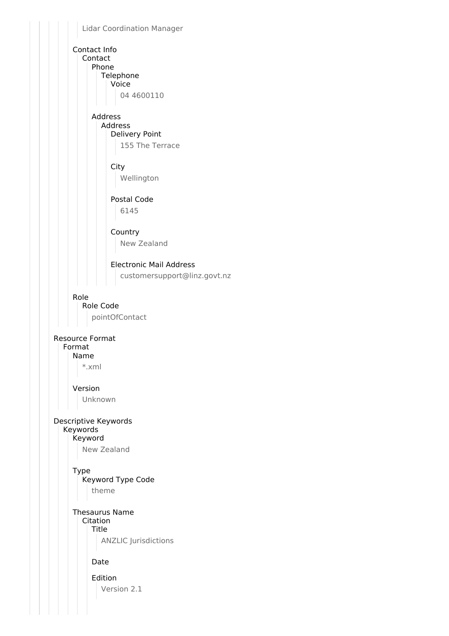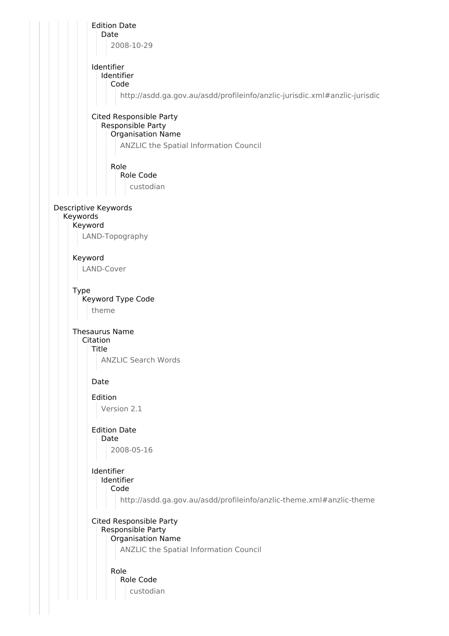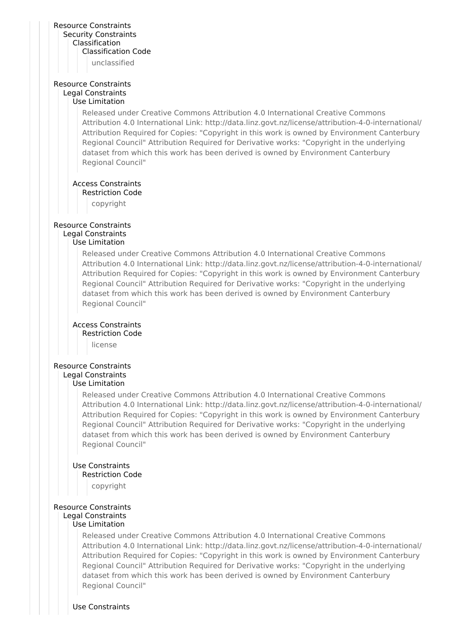### Resource Constraints Security Constraints Classification Classification Code

unclassified

### Resource Constraints Legal Constraints Use Limitation

Released under Creative Commons Attribution 4.0 International Creative Commons Attribution 4.0 International Link: http://data.linz.govt.nz/license/attribution-4-0-international/ Attribution Required for Copies: "Copyright in this work is owned by Environment Canterbury Regional Council" Attribution Required for Derivative works: "Copyright in the underlying dataset from which this work has been derived is owned by Environment Canterbury Regional Council"

### Access Constraints

Restriction Code

copyright

### Resource Constraints Legal Constraints

### Use Limitation

Released under Creative Commons Attribution 4.0 International Creative Commons Attribution 4.0 International Link: http://data.linz.govt.nz/license/attribution-4-0-international/ Attribution Required for Copies: "Copyright in this work is owned by Environment Canterbury Regional Council" Attribution Required for Derivative works: "Copyright in the underlying dataset from which this work has been derived is owned by Environment Canterbury Regional Council"

## Access Constraints

Restriction Code

license

## Resource Constraints

#### Legal Constraints Use Limitation

Released under Creative Commons Attribution 4.0 International Creative Commons Attribution 4.0 International Link: http://data.linz.govt.nz/license/attribution-4-0-international/ Attribution Required for Copies: "Copyright in this work is owned by Environment Canterbury Regional Council" Attribution Required for Derivative works: "Copyright in the underlying dataset from which this work has been derived is owned by Environment Canterbury

# Use Constraints

Restriction Code copyright

Regional Council"

### Resource Constraints Legal Constraints

# Use Limitation

Released under Creative Commons Attribution 4.0 International Creative Commons Attribution 4.0 International Link: http://data.linz.govt.nz/license/attribution-4-0-international/ Attribution Required for Copies: "Copyright in this work is owned by Environment Canterbury Regional Council" Attribution Required for Derivative works: "Copyright in the underlying dataset from which this work has been derived is owned by Environment Canterbury Regional Council"

Use Constraints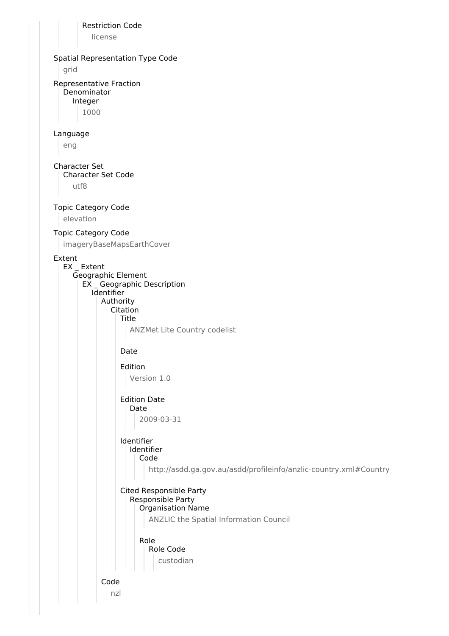Restriction Code license Spatial Representation Type Code grid Representative Fraction Denominator Integer 1000 Language eng Character Set Character Set Code utf8 Topic Category Code elevation Topic Category Code imageryBaseMapsEarthCover Extent EX \_ Extent Geographic Element EX \_ Geographic Description Identifier Authority Citation Title ANZMet Lite Country codelist Date Edition Version 1.0 Edition Date Date 2009-03-31 Identifier Identifier Code http://asdd.ga.gov.au/asdd/profileinfo/anzlic-country.xml#Country Cited Responsible Party Responsible Party Organisation Name ANZLIC the Spatial Information Council Role Role Code custodian Code nzl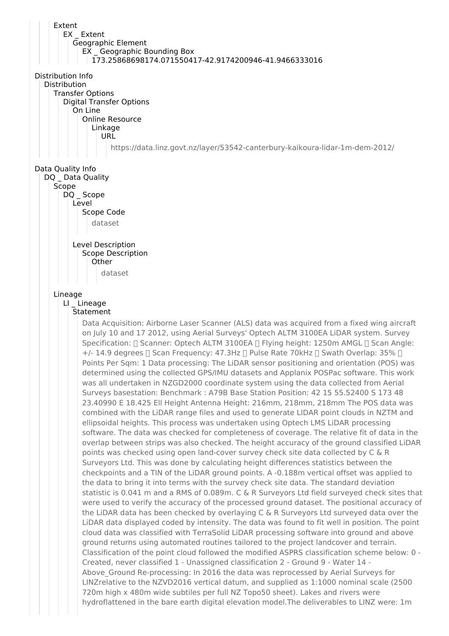Extent EX Extent Geographic Element EX \_ Geographic Bounding Box 173.25868698174.071550417-42.9174200946-41.9466333016 Distribution Info Distribution Transfer Options Digital Transfer Options On Line Online Resource Linkage URL https://data.linz.govt.nz/layer/53542-canterbury-kaikoura-lidar-1m-dem-2012/ Data Quality Info DQ Data Quality Scope DQ Scope Level Scope Code dataset Level Description Scope Description **Other** dataset Lineage LI Lineage **Statement** Data Acquisition: Airborne Laser Scanner (ALS) data was acquired from a fixed wing aircraft on July 10 and 17 2012, using Aerial Surveys' Optech ALTM 3100EA LiDAR system. Survey Specification:  $\Box$  Scanner: Optech ALTM 3100EA  $\Box$  Flying height: 1250m AMGL  $\Box$  Scan Angle:  $+/-$  14.9 degrees  $\Box$  Scan Frequency: 47.3Hz  $\Box$  Pulse Rate 70kHz  $\Box$  Swath Overlap: 35%  $\Box$ Points Per Sqm: 1 Data processing: The LiDAR sensor positioning and orientation (POS) was determined using the collected GPS/IMU datasets and Applanix POSPac software. This work was all undertaken in NZGD2000 coordinate system using the data collected from Aerial Surveys basestation: Benchmark : A79B Base Station Position: 42 15 55.52400 S 173 48 23.40990 E 18.425 Ell Height Antenna Height: 216mm, 218mm, 218mm The POS data was combined with the LiDAR range files and used to generate LIDAR point clouds in NZTM and ellipsoidal heights. This process was undertaken using Optech LMS LiDAR processing software. The data was checked for completeness of coverage. The relative fit of data in the overlap between strips was also checked. The height accuracy of the ground classified LiDAR points was checked using open land-cover survey check site data collected by C & R Surveyors Ltd. This was done by calculating height differences statistics between the checkpoints and a TIN of the LiDAR ground points. A -0.188m vertical offset was applied to the data to bring it into terms with the survey check site data. The standard deviation statistic is 0.041 m and a RMS of 0.089m. C & R Surveyors Ltd field surveyed check sites that were used to verify the accuracy of the processed ground dataset. The positional accuracy of the LiDAR data has been checked by overlaying C & R Surveyors Ltd surveyed data over the LiDAR data displayed coded by intensity. The data was found to fit well in position. The point cloud data was classified with TerraSolid LiDAR processing software into ground and above ground returns using automated routines tailored to the project landcover and terrain. Classification of the point cloud followed the modified ASPRS classification scheme below: 0 - Created, never classified 1 - Unassigned classification 2 - Ground 9 - Water 14 - Above\_Ground Re-processing: In 2016 the data was reprocessed by Aerial Surveys for LINZrelative to the NZVD2016 vertical datum, and supplied as 1:1000 nominal scale (2500 720m high x 480m wide subtiles per full NZ Topo50 sheet). Lakes and rivers were hydroflattened in the bare earth digital elevation model.The deliverables to LINZ were: 1m